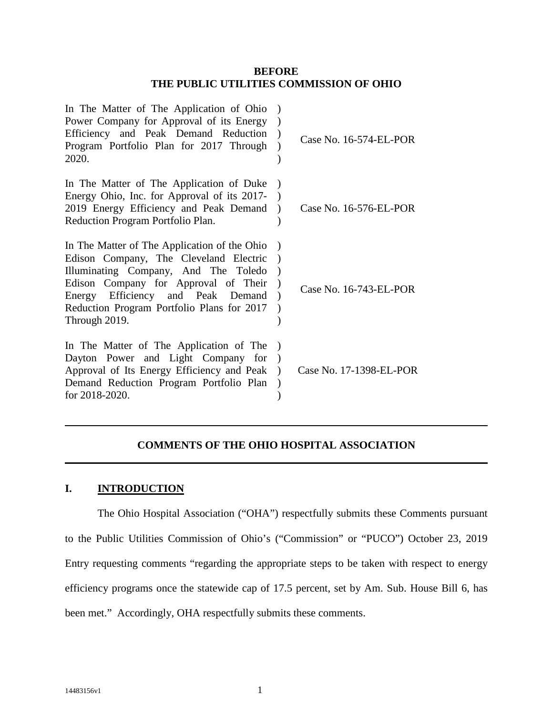### **BEFORE THE PUBLIC UTILITIES COMMISSION OF OHIO**

| In The Matter of The Application of Ohio<br>Power Company for Approval of its Energy<br>Efficiency and Peak Demand Reduction<br>Program Portfolio Plan for 2017 Through<br>2020.                                                                                           | Case No. 16-574-EL-POR  |
|----------------------------------------------------------------------------------------------------------------------------------------------------------------------------------------------------------------------------------------------------------------------------|-------------------------|
| In The Matter of The Application of Duke<br>Energy Ohio, Inc. for Approval of its 2017-<br>2019 Energy Efficiency and Peak Demand<br>Reduction Program Portfolio Plan.                                                                                                     | Case No. 16-576-EL-POR  |
| In The Matter of The Application of the Ohio<br>Edison Company, The Cleveland Electric<br>Illuminating Company, And The Toledo<br>Edison Company for Approval of Their<br>Energy Efficiency and Peak Demand<br>Reduction Program Portfolio Plans for 2017<br>Through 2019. | Case No. 16-743-EL-POR  |
| In The Matter of The Application of The<br>Dayton Power and Light Company for<br>Approval of Its Energy Efficiency and Peak<br>Demand Reduction Program Portfolio Plan<br>for 2018-2020.                                                                                   | Case No. 17-1398-EL-POR |

# **COMMENTS OF THE OHIO HOSPITAL ASSOCIATION**

# **I. INTRODUCTION**

The Ohio Hospital Association ("OHA") respectfully submits these Comments pursuant to the Public Utilities Commission of Ohio's ("Commission" or "PUCO") October 23, 2019 Entry requesting comments "regarding the appropriate steps to be taken with respect to energy efficiency programs once the statewide cap of 17.5 percent, set by Am. Sub. House Bill 6, has been met." Accordingly, OHA respectfully submits these comments.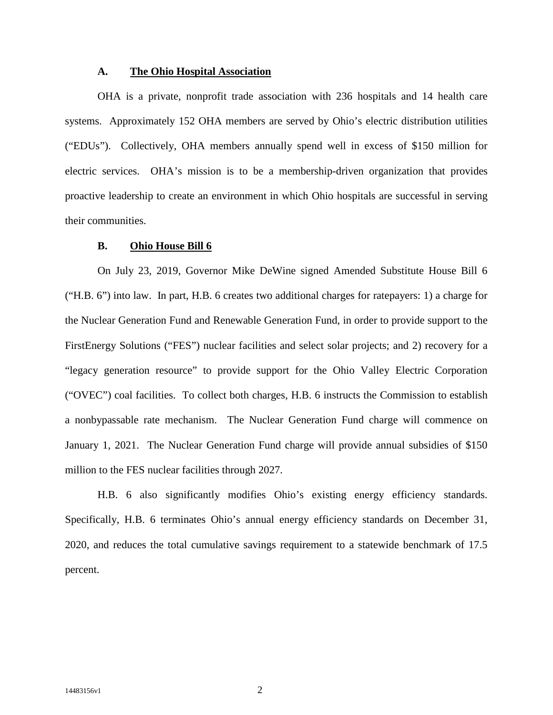#### **A. The Ohio Hospital Association**

OHA is a private, nonprofit trade association with 236 hospitals and 14 health care systems. Approximately 152 OHA members are served by Ohio's electric distribution utilities ("EDUs"). Collectively, OHA members annually spend well in excess of \$150 million for electric services. OHA's mission is to be a membership-driven organization that provides proactive leadership to create an environment in which Ohio hospitals are successful in serving their communities.

#### **B. Ohio House Bill 6**

On July 23, 2019, Governor Mike DeWine signed Amended Substitute House Bill 6 ("H.B. 6") into law. In part, H.B. 6 creates two additional charges for ratepayers: 1) a charge for the Nuclear Generation Fund and Renewable Generation Fund, in order to provide support to the FirstEnergy Solutions ("FES") nuclear facilities and select solar projects; and 2) recovery for a "legacy generation resource" to provide support for the Ohio Valley Electric Corporation ("OVEC") coal facilities. To collect both charges, H.B. 6 instructs the Commission to establish a nonbypassable rate mechanism. The Nuclear Generation Fund charge will commence on January 1, 2021. The Nuclear Generation Fund charge will provide annual subsidies of \$150 million to the FES nuclear facilities through 2027.

H.B. 6 also significantly modifies Ohio's existing energy efficiency standards. Specifically, H.B. 6 terminates Ohio's annual energy efficiency standards on December 31, 2020, and reduces the total cumulative savings requirement to a statewide benchmark of 17.5 percent.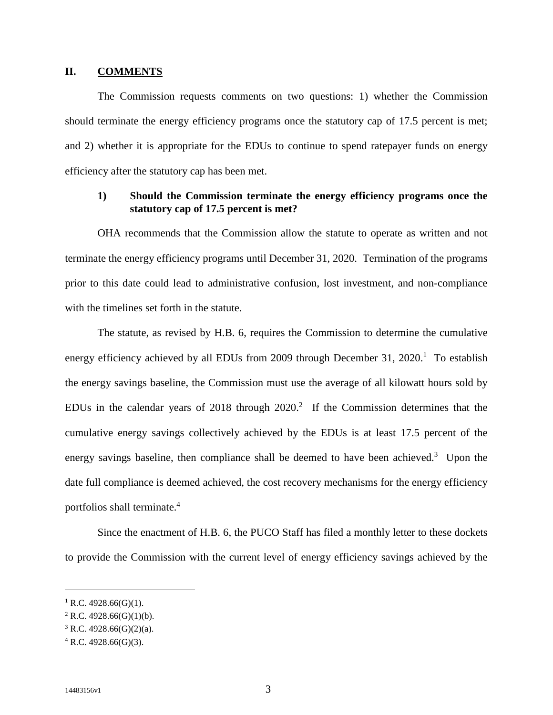### **II. COMMENTS**

The Commission requests comments on two questions: 1) whether the Commission should terminate the energy efficiency programs once the statutory cap of 17.5 percent is met; and 2) whether it is appropriate for the EDUs to continue to spend ratepayer funds on energy efficiency after the statutory cap has been met.

## **1) Should the Commission terminate the energy efficiency programs once the statutory cap of 17.5 percent is met?**

OHA recommends that the Commission allow the statute to operate as written and not terminate the energy efficiency programs until December 31, 2020. Termination of the programs prior to this date could lead to administrative confusion, lost investment, and non-compliance with the timelines set forth in the statute.

The statute, as revised by H.B. 6, requires the Commission to determine the cumulative energy efficiency achieved by all EDUs from 2009 through December 31,  $2020<sup>1</sup>$  To establish the energy savings baseline, the Commission must use the average of all kilowatt hours sold by EDUs in the calendar years of 2018 through  $2020$ <sup>2</sup> If the Commission determines that the cumulative energy savings collectively achieved by the EDUs is at least 17.5 percent of the energy savings baseline, then compliance shall be deemed to have been achieved. $3$  Upon the date full compliance is deemed achieved, the cost recovery mechanisms for the energy efficiency portfolios shall terminate.<sup>4</sup>

Since the enactment of H.B. 6, the PUCO Staff has filed a monthly letter to these dockets to provide the Commission with the current level of energy efficiency savings achieved by the

<sup>&</sup>lt;sup>1</sup> R.C. 4928.66(G)(1).

 $2$  R.C. 4928.66(G)(1)(b).

 $3$  R.C. 4928.66(G)(2)(a).

 $4$  R.C. 4928.66(G)(3).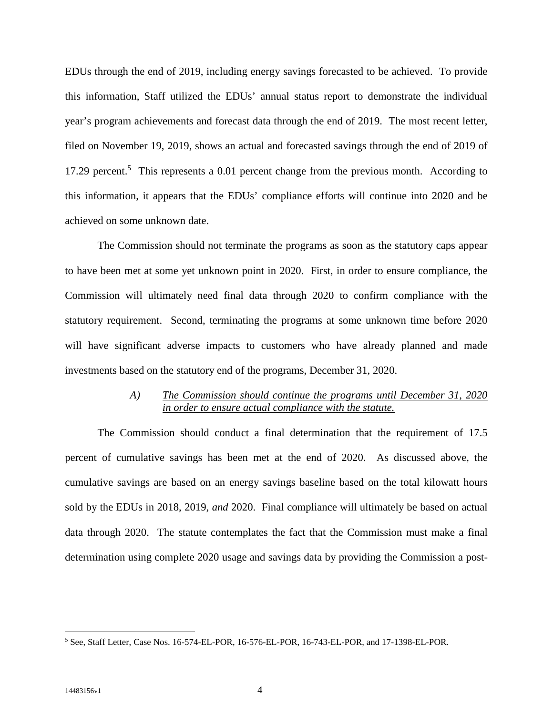EDUs through the end of 2019, including energy savings forecasted to be achieved. To provide this information, Staff utilized the EDUs' annual status report to demonstrate the individual year's program achievements and forecast data through the end of 2019. The most recent letter, filed on November 19, 2019, shows an actual and forecasted savings through the end of 2019 of 17.29 percent.<sup>5</sup> This represents a 0.01 percent change from the previous month. According to this information, it appears that the EDUs' compliance efforts will continue into 2020 and be achieved on some unknown date.

The Commission should not terminate the programs as soon as the statutory caps appear to have been met at some yet unknown point in 2020. First, in order to ensure compliance, the Commission will ultimately need final data through 2020 to confirm compliance with the statutory requirement. Second, terminating the programs at some unknown time before 2020 will have significant adverse impacts to customers who have already planned and made investments based on the statutory end of the programs, December 31, 2020.

### *A) The Commission should continue the programs until December 31, 2020 in order to ensure actual compliance with the statute.*

The Commission should conduct a final determination that the requirement of 17.5 percent of cumulative savings has been met at the end of 2020. As discussed above, the cumulative savings are based on an energy savings baseline based on the total kilowatt hours sold by the EDUs in 2018, 2019, *and* 2020. Final compliance will ultimately be based on actual data through 2020. The statute contemplates the fact that the Commission must make a final determination using complete 2020 usage and savings data by providing the Commission a post-

<sup>5</sup> See, Staff Letter, Case Nos. 16-574-EL-POR, 16-576-EL-POR, 16-743-EL-POR, and 17-1398-EL-POR.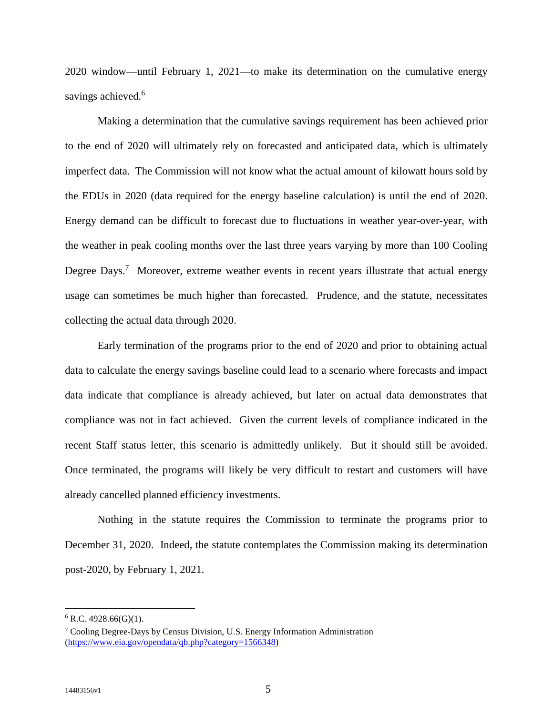2020 window—until February 1, 2021—to make its determination on the cumulative energy savings achieved.<sup>6</sup>

Making a determination that the cumulative savings requirement has been achieved prior to the end of 2020 will ultimately rely on forecasted and anticipated data, which is ultimately imperfect data. The Commission will not know what the actual amount of kilowatt hours sold by the EDUs in 2020 (data required for the energy baseline calculation) is until the end of 2020. Energy demand can be difficult to forecast due to fluctuations in weather year-over-year, with the weather in peak cooling months over the last three years varying by more than 100 Cooling Degree Days.<sup>7</sup> Moreover, extreme weather events in recent years illustrate that actual energy usage can sometimes be much higher than forecasted. Prudence, and the statute, necessitates collecting the actual data through 2020.

Early termination of the programs prior to the end of 2020 and prior to obtaining actual data to calculate the energy savings baseline could lead to a scenario where forecasts and impact data indicate that compliance is already achieved, but later on actual data demonstrates that compliance was not in fact achieved. Given the current levels of compliance indicated in the recent Staff status letter, this scenario is admittedly unlikely. But it should still be avoided. Once terminated, the programs will likely be very difficult to restart and customers will have already cancelled planned efficiency investments.

Nothing in the statute requires the Commission to terminate the programs prior to December 31, 2020. Indeed, the statute contemplates the Commission making its determination post-2020, by February 1, 2021.

 $6$  R.C. 4928.66(G)(1).

<sup>&</sup>lt;sup>7</sup> Cooling Degree-Days by Census Division, U.S. Energy Information Administration (https://www.eia.gov/opendata/qb.php?category=1566348)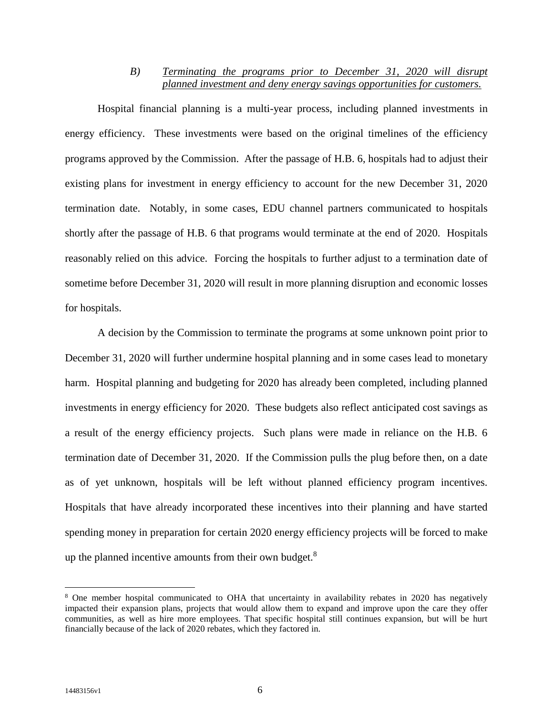### *B) Terminating the programs prior to December 31, 2020 will disrupt planned investment and deny energy savings opportunities for customers.*

Hospital financial planning is a multi-year process, including planned investments in energy efficiency. These investments were based on the original timelines of the efficiency programs approved by the Commission. After the passage of H.B. 6, hospitals had to adjust their existing plans for investment in energy efficiency to account for the new December 31, 2020 termination date. Notably, in some cases, EDU channel partners communicated to hospitals shortly after the passage of H.B. 6 that programs would terminate at the end of 2020. Hospitals reasonably relied on this advice. Forcing the hospitals to further adjust to a termination date of sometime before December 31, 2020 will result in more planning disruption and economic losses for hospitals.

A decision by the Commission to terminate the programs at some unknown point prior to December 31, 2020 will further undermine hospital planning and in some cases lead to monetary harm. Hospital planning and budgeting for 2020 has already been completed, including planned investments in energy efficiency for 2020. These budgets also reflect anticipated cost savings as a result of the energy efficiency projects. Such plans were made in reliance on the H.B. 6 termination date of December 31, 2020. If the Commission pulls the plug before then, on a date as of yet unknown, hospitals will be left without planned efficiency program incentives. Hospitals that have already incorporated these incentives into their planning and have started spending money in preparation for certain 2020 energy efficiency projects will be forced to make up the planned incentive amounts from their own budget.<sup>8</sup>

<sup>&</sup>lt;sup>8</sup> One member hospital communicated to OHA that uncertainty in availability rebates in 2020 has negatively impacted their expansion plans, projects that would allow them to expand and improve upon the care they offer communities, as well as hire more employees. That specific hospital still continues expansion, but will be hurt financially because of the lack of 2020 rebates, which they factored in.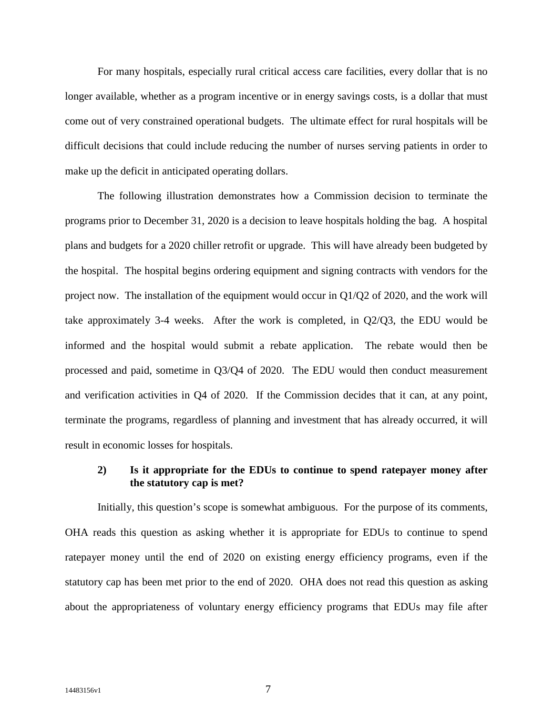For many hospitals, especially rural critical access care facilities, every dollar that is no longer available, whether as a program incentive or in energy savings costs, is a dollar that must come out of very constrained operational budgets. The ultimate effect for rural hospitals will be difficult decisions that could include reducing the number of nurses serving patients in order to make up the deficit in anticipated operating dollars.

The following illustration demonstrates how a Commission decision to terminate the programs prior to December 31, 2020 is a decision to leave hospitals holding the bag. A hospital plans and budgets for a 2020 chiller retrofit or upgrade. This will have already been budgeted by the hospital. The hospital begins ordering equipment and signing contracts with vendors for the project now. The installation of the equipment would occur in Q1/Q2 of 2020, and the work will take approximately 3-4 weeks. After the work is completed, in Q2/Q3, the EDU would be informed and the hospital would submit a rebate application. The rebate would then be processed and paid, sometime in Q3/Q4 of 2020. The EDU would then conduct measurement and verification activities in Q4 of 2020. If the Commission decides that it can, at any point, terminate the programs, regardless of planning and investment that has already occurred, it will result in economic losses for hospitals.

## **2) Is it appropriate for the EDUs to continue to spend ratepayer money after the statutory cap is met?**

Initially, this question's scope is somewhat ambiguous. For the purpose of its comments, OHA reads this question as asking whether it is appropriate for EDUs to continue to spend ratepayer money until the end of 2020 on existing energy efficiency programs, even if the statutory cap has been met prior to the end of 2020. OHA does not read this question as asking about the appropriateness of voluntary energy efficiency programs that EDUs may file after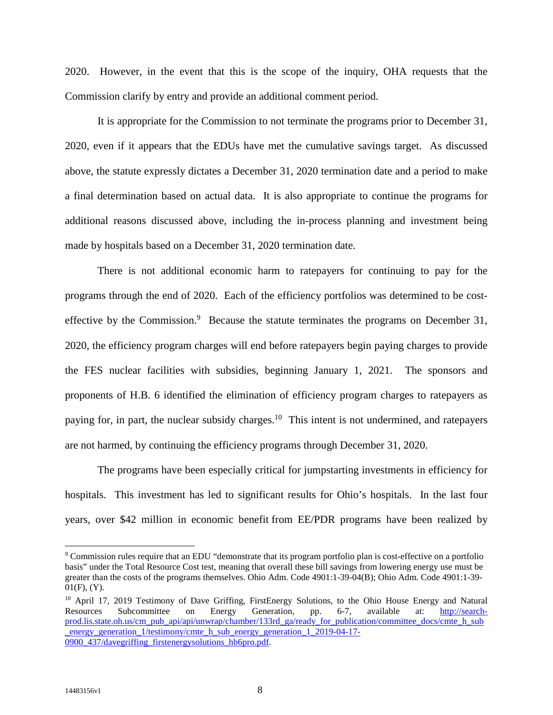2020. However, in the event that this is the scope of the inquiry, OHA requests that the Commission clarify by entry and provide an additional comment period.

It is appropriate for the Commission to not terminate the programs prior to December 31, 2020, even if it appears that the EDUs have met the cumulative savings target. As discussed above, the statute expressly dictates a December 31, 2020 termination date and a period to make a final determination based on actual data. It is also appropriate to continue the programs for additional reasons discussed above, including the in-process planning and investment being made by hospitals based on a December 31, 2020 termination date.

There is not additional economic harm to ratepayers for continuing to pay for the programs through the end of 2020. Each of the efficiency portfolios was determined to be costeffective by the Commission. $9$  Because the statute terminates the programs on December 31, 2020, the efficiency program charges will end before ratepayers begin paying charges to provide the FES nuclear facilities with subsidies, beginning January 1, 2021. The sponsors and proponents of H.B. 6 identified the elimination of efficiency program charges to ratepayers as paying for, in part, the nuclear subsidy charges.<sup>10</sup> This intent is not undermined, and ratepayers are not harmed, by continuing the efficiency programs through December 31, 2020.

The programs have been especially critical for jumpstarting investments in efficiency for hospitals. This investment has led to significant results for Ohio's hospitals. In the last four years, over \$42 million in economic benefit from EE/PDR programs have been realized by

<sup>&</sup>lt;sup>9</sup> Commission rules require that an EDU "demonstrate that its program portfolio plan is cost-effective on a portfolio basis" under the Total Resource Cost test, meaning that overall these bill savings from lowering energy use must be greater than the costs of the programs themselves. Ohio Adm. Code 4901:1-39-04(B); Ohio Adm. Code 4901:1-39-  $01(F)$ ,  $(Y)$ .

<sup>&</sup>lt;sup>10</sup> April 17, 2019 Testimony of Dave Griffing, FirstEnergy Solutions, to the Ohio House Energy and Natural Resources Subcommittee on Energy Generation, pp. 6-7, available at: http://search-Resources Subcommittee on Energy Generation, pp. 6-7, available at: http://searchprod.lis.state.oh.us/cm\_pub\_api/api/unwrap/chamber/133rd\_ga/ready\_for\_publication/committee\_docs/cmte\_h\_sub energy\_generation\_1/testimony/cmte\_h\_sub\_energy\_generation\_1\_2019-04-17-0900\_437/davegriffing\_firstenergysolutions\_hb6pro.pdf.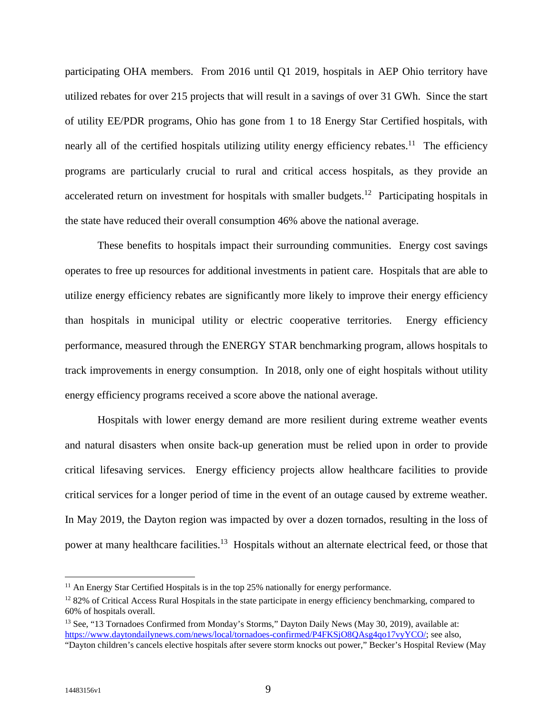participating OHA members. From 2016 until Q1 2019, hospitals in AEP Ohio territory have utilized rebates for over 215 projects that will result in a savings of over 31 GWh. Since the start of utility EE/PDR programs, Ohio has gone from 1 to 18 Energy Star Certified hospitals, with nearly all of the certified hospitals utilizing utility energy efficiency rebates.<sup>11</sup> The efficiency programs are particularly crucial to rural and critical access hospitals, as they provide an accelerated return on investment for hospitals with smaller budgets.<sup>12</sup> Participating hospitals in the state have reduced their overall consumption 46% above the national average.

These benefits to hospitals impact their surrounding communities. Energy cost savings operates to free up resources for additional investments in patient care. Hospitals that are able to utilize energy efficiency rebates are significantly more likely to improve their energy efficiency than hospitals in municipal utility or electric cooperative territories. Energy efficiency performance, measured through the ENERGY STAR benchmarking program, allows hospitals to track improvements in energy consumption. In 2018, only one of eight hospitals without utility energy efficiency programs received a score above the national average.

Hospitals with lower energy demand are more resilient during extreme weather events and natural disasters when onsite back-up generation must be relied upon in order to provide critical lifesaving services. Energy efficiency projects allow healthcare facilities to provide critical services for a longer period of time in the event of an outage caused by extreme weather. In May 2019, the Dayton region was impacted by over a dozen tornados, resulting in the loss of power at many healthcare facilities.<sup>13</sup> Hospitals without an alternate electrical feed, or those that

<sup>&</sup>lt;sup>11</sup> An Energy Star Certified Hospitals is in the top 25% nationally for energy performance.

<sup>&</sup>lt;sup>12</sup> 82% of Critical Access Rural Hospitals in the state participate in energy efficiency benchmarking, compared to 60% of hospitals overall.

<sup>13</sup> See, "13 Tornadoes Confirmed from Monday's Storms," Dayton Daily News (May 30, 2019), available at: https://www.daytondailynews.com/news/local/tornadoes-confirmed/P4FKSjO8QAsg4qo17vyYCO/; see also, "Dayton children's cancels elective hospitals after severe storm knocks out power," Becker's Hospital Review (May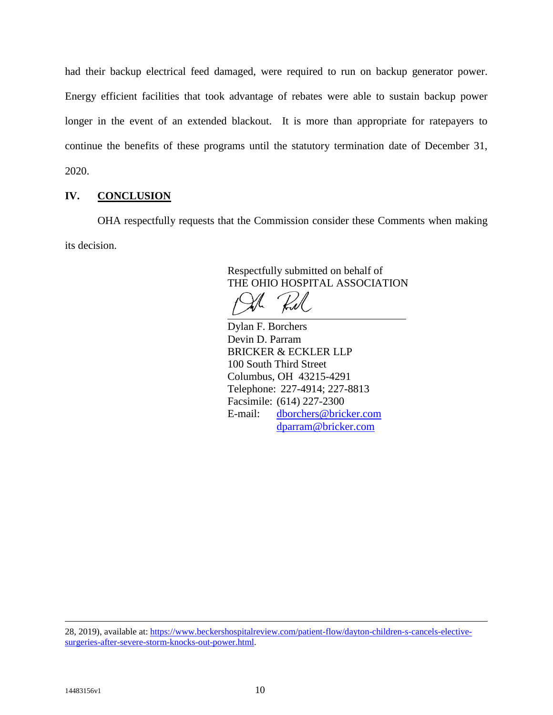had their backup electrical feed damaged, were required to run on backup generator power. Energy efficient facilities that took advantage of rebates were able to sustain backup power longer in the event of an extended blackout. It is more than appropriate for ratepayers to continue the benefits of these programs until the statutory termination date of December 31, 2020.

# **IV. CONCLUSION**

OHA respectfully requests that the Commission consider these Comments when making its decision.

> Respectfully submitted on behalf of THE OHIO HOSPITAL ASSOCIATION

**Red** 

Dylan F. Borchers Devin D. Parram BRICKER & ECKLER LLP 100 South Third Street Columbus, OH 43215-4291 Telephone: 227-4914; 227-8813 Facsimile: (614) 227-2300 E-mail: dborchers@bricker.com dparram@bricker.com

28, 2019), available at: https://www.beckershospitalreview.com/patient-flow/dayton-children-s-cancels-electivesurgeries-after-severe-storm-knocks-out-power.html.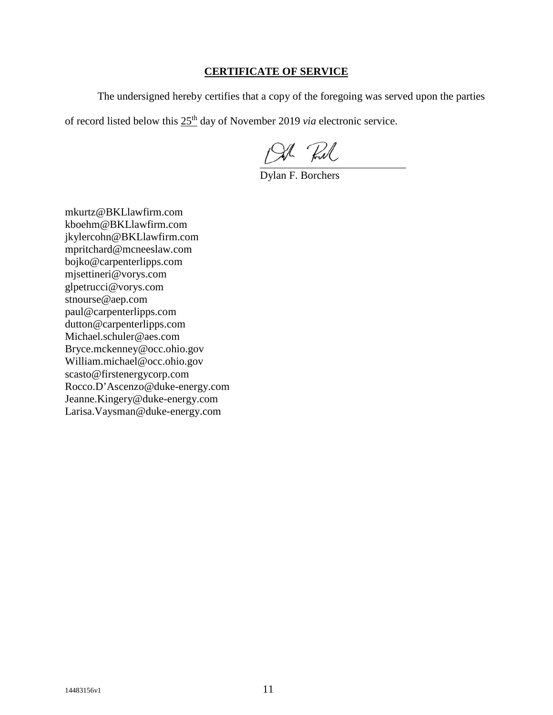# **CERTIFICATE OF SERVICE**

The undersigned hereby certifies that a copy of the foregoing was served upon the parties

of record listed below this 25<sup>th</sup> day of November 2019 *via* electronic service.

Oh Rul<br>Dylan F. Borchers

mkurtz@BKLlawfirm.com kboehm@BKLlawfirm.com jkylercohn@BKLlawfirm.com mpritchard@mcneeslaw.com bojko@carpenterlipps.com mjsettineri@vorys.com glpetrucci@vorys.com stnourse@aep.com paul@carpenterlipps.com dutton@carpenterlipps.com Michael.schuler@aes.com Bryce.mckenney@occ.ohio.gov William.michael@occ.ohio.gov scasto@firstenergycorp.com Rocco.D'Ascenzo@duke-energy.com Jeanne.Kingery@duke-energy.com Larisa.Vaysman@duke-energy.com